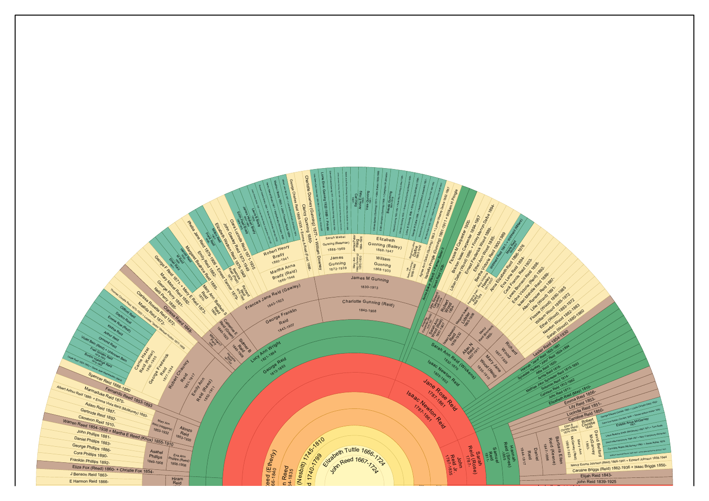